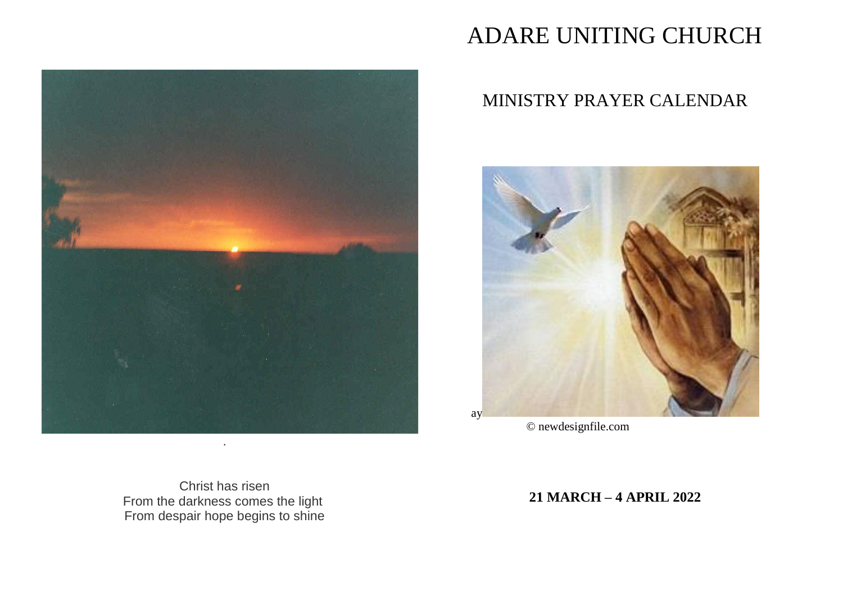

# ADARE UNITING CHURCH

# MINISTRY PRAYER CALENDAR



 $\ensuremath{\mathbb{O}}$  new<br>designfile.com

Christ has risen From the darkness comes the light From despair hope begins to shine

21 MARCH - 4 APRIL 2022